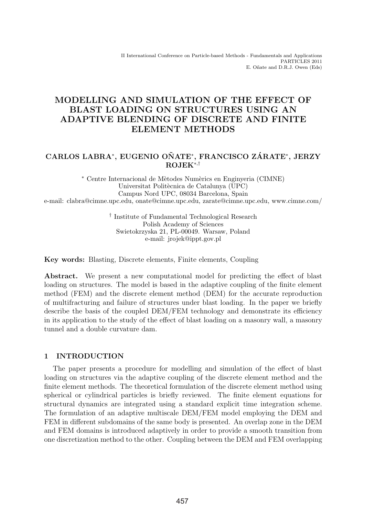# MODELLING AND SIMULATION OF THE EFFECT OF BLAST LOADING ON STRUCTURES USING AN ADAPTIVE BLENDING OF DISCRETE AND FINITE ELEMENT METHODS

# CARLOS LABRA\*, EUGENIO OÑATE\*, FRANCISCO ZÁRATE\*, JERZY ROJEK∗,†

∗ Centre Internacional de M`etodes Num`erics en Enginyeria (CIMNE) Universitat Politècnica de Catalunya (UPC) Campus Nord UPC, 08034 Barcelona, Spain e-mail: clabra@cimne.upc.edu, onate@cimne.upc.edu, zarate@cimne.upc.edu, www.cimne.com/

> † Institute of Fundamental Technological Research Polish Academy of Sciences Swietokrzyska 21, PL-00049. Warsaw, Poland e-mail: jrojek@ippt.gov.pl

Key words: Blasting, Discrete elements, Finite elements, Coupling

Abstract. We present a new computational model for predicting the effect of blast loading on structures. The model is based in the adaptive coupling of the finite element method (FEM) and the discrete element method (DEM) for the accurate reproduction of multifracturing and failure of structures under blast loading. In the paper we briefly describe the basis of the coupled DEM/FEM technology and demonstrate its efficiency in its application to the study of the effect of blast loading on a masonry wall, a masonry tunnel and a double curvature dam.

## 1 INTRODUCTION

The paper presents a procedure for modelling and simulation of the effect of blast loading on structures via the adaptive coupling of the discrete element method and the finite element methods. The theoretical formulation of the discrete element method using spherical or cylindrical particles is briefly reviewed. The finite element equations for structural dynamics are integrated using a standard explicit time integration scheme. The formulation of an adaptive multiscale DEM/FEM model employing the DEM and FEM in different subdomains of the same body is presented. An overlap zone in the DEM and FEM domains is introduced adaptively in order to provide a smooth transition from one discretization method to the other. Coupling between the DEM and FEM overlapping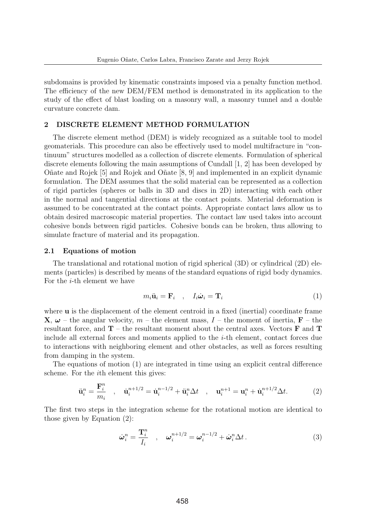subdomains is provided by kinematic constraints imposed via a penalty function method. The efficiency of the new DEM/FEM method is demonstrated in its application to the study of the effect of blast loading on a masonry wall, a masonry tunnel and a double curvature concrete dam.

## 2 DISCRETE ELEMENT METHOD FORMULATION

The discrete element method (DEM) is widely recognized as a suitable tool to model geomaterials. This procedure can also be effectively used to model multifracture in "continuum" structures modelled as a collection of discrete elements. Formulation of spherical discrete elements following the main assumptions of Cundall [1, 2] has been developed by O˜nate and Rojek [5] and Rojek and O˜nate [8, 9] and implemented in an explicit dynamic formulation. The DEM assumes that the solid material can be represented as a collection of rigid particles (spheres or balls in 3D and discs in 2D) interacting with each other in the normal and tangential directions at the contact points. Material deformation is assumed to be concentrated at the contact points. Appropriate contact laws allow us to obtain desired macroscopic material properties. The contact law used takes into account cohesive bonds between rigid particles. Cohesive bonds can be broken, thus allowing to simulate fracture of material and its propagation.

## 2.1 Equations of motion

The translational and rotational motion of rigid spherical (3D) or cylindrical (2D) elements (particles) is described by means of the standard equations of rigid body dynamics. For the i-th element we have

$$
m_i \ddot{\mathbf{u}}_i = \mathbf{F}_i \quad , \quad I_i \dot{\boldsymbol{\omega}}_i = \mathbf{T}_i \tag{1}
$$

where **u** is the displacement of the element centroid in a fixed (inertial) coordinate frame **X**,  $\omega$  – the angular velocity, m – the element mass, I – the moment of inertia, **F** – the resultant force, and  $T$  – the resultant moment about the central axes. Vectors  $F$  and  $T$ include all external forces and moments applied to the i-th element, contact forces due to interactions with neighboring element and other obstacles, as well as forces resulting from damping in the system.

The equations of motion (1) are integrated in time using an explicit central difference scheme. For the ith element this gives:

$$
\ddot{\mathbf{u}}_i^n = \frac{\mathbf{F}_i^n}{m_i} \quad , \quad \dot{\mathbf{u}}_i^{n+1/2} = \dot{\mathbf{u}}_i^{n-1/2} + \ddot{\mathbf{u}}_i^n \Delta t \quad , \quad \mathbf{u}_i^{n+1} = \mathbf{u}_i^n + \dot{\mathbf{u}}_i^{n+1/2} \Delta t. \tag{2}
$$

The first two steps in the integration scheme for the rotational motion are identical to those given by Equation (2):

$$
\dot{\boldsymbol{\omega}}_i^n = \frac{\mathbf{T}_i^n}{I_i} \quad , \quad \boldsymbol{\omega}_i^{n+1/2} = \boldsymbol{\omega}_i^{n-1/2} + \dot{\boldsymbol{\omega}}_i^n \Delta t \,. \tag{3}
$$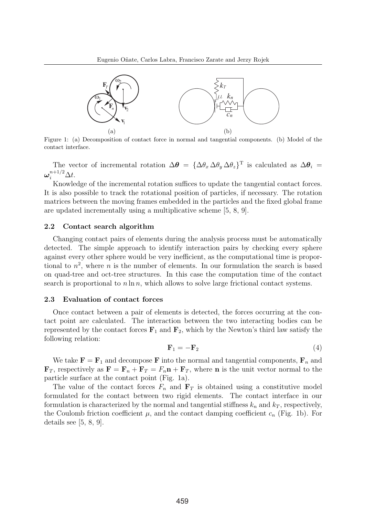

Figure 1: (a) Decomposition of contact force in normal and tangential components. (b) Model of the contact interface.

The vector of incremental rotation  $\Delta \theta = {\Delta \theta_x \Delta \theta_y \Delta \theta_z}^T$  is calculated as  $\Delta \theta_i =$  $\boldsymbol{\omega}_i^{n+1/2} \Delta t.$ 

Knowledge of the incremental rotation suffices to update the tangential contact forces. It is also possible to track the rotational position of particles, if necessary. The rotation matrices between the moving frames embedded in the particles and the fixed global frame are updated incrementally using a multiplicative scheme [5, 8, 9].

## 2.2 Contact search algorithm

Changing contact pairs of elements during the analysis process must be automatically detected. The simple approach to identify interaction pairs by checking every sphere against every other sphere would be very inefficient, as the computational time is proportional to  $n^2$ , where n is the number of elements. In our formulation the search is based on quad-tree and oct-tree structures. In this case the computation time of the contact search is proportional to  $n \ln n$ , which allows to solve large frictional contact systems.

## 2.3 Evaluation of contact forces

Once contact between a pair of elements is detected, the forces occurring at the contact point are calculated. The interaction between the two interacting bodies can be represented by the contact forces  $\mathbf{F}_1$  and  $\mathbf{F}_2$ , which by the Newton's third law satisfy the following relation:

$$
\mathbf{F}_1 = -\mathbf{F}_2 \tag{4}
$$

We take  $\mathbf{F} = \mathbf{F}_1$  and decompose F into the normal and tangential components,  $\mathbf{F}_n$  and  $\mathbf{F}_T$ , respectively as  $\mathbf{F} = \mathbf{F}_n + \mathbf{F}_T = F_n \mathbf{n} + \mathbf{F}_T$ , where **n** is the unit vector normal to the particle surface at the contact point (Fig. 1a).

The value of the contact forces  $F_n$  and  $\mathbf{F}_T$  is obtained using a constitutive model formulated for the contact between two rigid elements. The contact interface in our formulation is characterized by the normal and tangential stiffness  $k_n$  and  $k_T$ , respectively, the Coulomb friction coefficient  $\mu$ , and the contact damping coefficient  $c_n$  (Fig. 1b). For details see [5, 8, 9].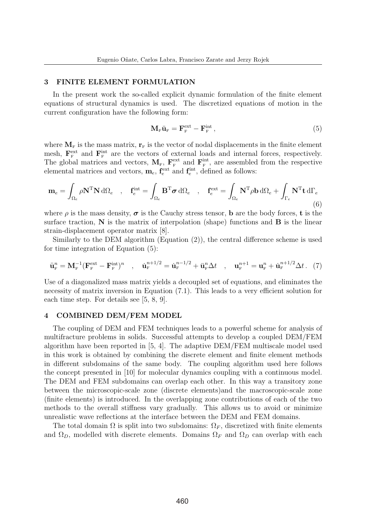## 3 FINITE ELEMENT FORMULATION

In the present work the so-called explicit dynamic formulation of the finite element equations of structural dynamics is used. The discretized equations of motion in the current configuration have the following form:

$$
\mathbf{M}_{\mathrm{F}}\ddot{\mathbf{u}}_{\mathrm{F}} = \mathbf{F}_{\mathrm{F}}^{\mathrm{ext}} - \mathbf{F}_{\mathrm{F}}^{\mathrm{int}}\,,\tag{5}
$$

where  $M_F$  is the mass matrix,  $r_F$  is the vector of nodal displacements in the finite element mesh,  $\mathbf{F}_{\text{F}}^{\text{ext}}$  and  $\mathbf{F}_{\text{F}}^{\text{int}}$  are the vectors of external loads and internal forces, respectively. The global matrices and vectors,  $M_{F}$ ,  $\mathbf{F}_{F}^{\text{ext}}$  and  $\mathbf{F}_{F}^{\text{int}}$ , are assembled from the respective elemental matrices and vectors,  $\mathbf{m}_e$ ,  $\mathbf{f}_e^{\text{ext}}$  and  $\mathbf{f}_e^{\text{int}}$ , defined as follows:

$$
\mathbf{m}_e = \int_{\Omega_e} \rho \mathbf{N}^{\mathrm{T}} \mathbf{N} \, \mathrm{d}\Omega_e \quad , \quad \mathbf{f}_e^{\mathrm{int}} = \int_{\Omega_e} \mathbf{B}^{\mathrm{T}} \boldsymbol{\sigma} \, \mathrm{d}\Omega_e \quad , \quad \mathbf{f}_e^{\mathrm{ext}} = \int_{\Omega_e} \mathbf{N}^{\mathrm{T}} \rho \mathbf{b} \, \mathrm{d}\Omega_e + \int_{\Gamma_e} \mathbf{N}^{\mathrm{T}} \mathbf{t} \, \mathrm{d}\Gamma_e \tag{6}
$$

where  $\rho$  is the mass density,  $\sigma$  is the Cauchy stress tensor, **b** are the body forces, **t** is the surface traction,  $N$  is the matrix of interpolation (shape) functions and  $B$  is the linear strain-displacement operator matrix [8].

Similarly to the DEM algorithm (Equation (2)), the central difference scheme is used for time integration of Equation (5):

$$
\ddot{\mathbf{u}}_{\mathrm{F}}^{n} = \mathbf{M}_{\mathrm{F}}^{-1} (\mathbf{F}_{\mathrm{F}}^{\mathrm{ext}} - \mathbf{F}_{\mathrm{F}}^{\mathrm{int}})^{n} \quad , \quad \dot{\mathbf{u}}_{\mathrm{F}}^{n+1/2} = \dot{\mathbf{u}}_{\mathrm{F}}^{n-1/2} + \ddot{\mathbf{u}}_{\mathrm{F}}^{n} \Delta t \quad , \quad \mathbf{u}_{\mathrm{F}}^{n+1} = \mathbf{u}_{\mathrm{F}}^{n} + \dot{\mathbf{u}}_{\mathrm{F}}^{n+1/2} \Delta t \quad (7)
$$

Use of a diagonalized mass matrix yields a decoupled set of equations, and eliminates the necessity of matrix inversion in Equation  $(7.1)$ . This leads to a very efficient solution for each time step. For details see [5, 8, 9].

#### 4 COMBINED DEM/FEM MODEL

The coupling of DEM and FEM techniques leads to a powerful scheme for analysis of multifracture problems in solids. Successful attempts to develop a coupled DEM/FEM algorithm have been reported in [5, 4]. The adaptive DEM/FEM multiscale model used in this work is obtained by combining the discrete element and finite element methods in different subdomains of the same body. The coupling algorithm used here follows the concept presented in [10] for molecular dynamics coupling with a continuous model. The DEM and FEM subdomains can overlap each other. In this way a transitory zone between the microscopic-scale zone (discrete elements)and the macroscopic-scale zone (finite elements) is introduced. In the overlapping zone contributions of each of the two methods to the overall stiffness vary gradually. This allows us to avoid or minimize unrealistic wave reflections at the interface between the DEM and FEM domains.

The total domain  $\Omega$  is split into two subdomains:  $\Omega_F$ , discretized with finite elements and  $\Omega_D$ , modelled with discrete elements. Domains  $\Omega_F$  and  $\Omega_D$  can overlap with each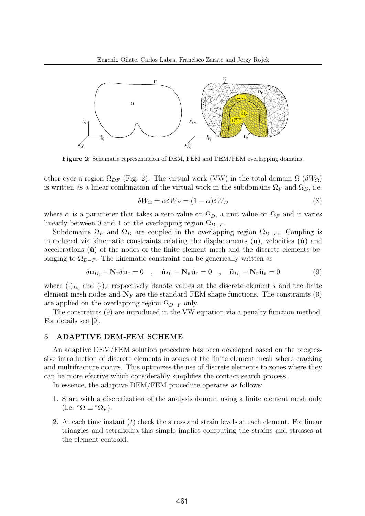

Figure 2: Schematic representation of DEM, FEM and DEM/FEM overlapping domains.

other over a region  $\Omega_{DF}$  (Fig. 2). The virtual work (VW) in the total domain  $\Omega$  ( $\delta W_{\Omega}$ ) is written as a linear combination of the virtual work in the subdomains  $\Omega_F$  and  $\Omega_D$ , i.e.

$$
\delta W_{\Omega} = \alpha \delta W_F = (1 - \alpha) \delta W_D \tag{8}
$$

where  $\alpha$  is a parameter that takes a zero value on  $\Omega_D$ , a unit value on  $\Omega_F$  and it varies linearly between 0 and 1 on the overlapping region  $\Omega_{D-F}$ .

Subdomains  $\Omega_F$  and  $\Omega_D$  are coupled in the overlapping region  $\Omega_{D-F}$ . Coupling is introduced via kinematic constraints relating the displacements  $(u)$ , velocities  $(\dot{u})$  and accelerations  $\ddot{u}$  of the nodes of the finite element mesh and the discrete elements belonging to  $\Omega_{D-F}$ . The kinematic constraint can be generically written as

$$
\delta \mathbf{u}_{D_i} - \mathbf{N}_{\mathbf{F}} \delta \mathbf{u}_{\mathbf{F}} = 0 \quad , \quad \dot{\mathbf{u}}_{D_i} - \mathbf{N}_{\mathbf{F}} \dot{\mathbf{u}}_{\mathbf{F}} = 0 \quad , \quad \ddot{\mathbf{u}}_{D_i} - \mathbf{N}_{\mathbf{F}} \ddot{\mathbf{u}}_{\mathbf{F}} = 0 \tag{9}
$$

where  $(\cdot)_{D_i}$  and  $(\cdot)_F$  respectively denote values at the discrete element i and the finite element mesh nodes and  $N_F$  are the standard FEM shape functions. The constraints (9) are applied on the overlapping region  $\Omega_{D-F}$  only.

The constraints (9) are introduced in the VW equation via a penalty function method. For details see [9].

#### 5 ADAPTIVE DEM-FEM SCHEME

An adaptive DEM/FEM solution procedure has been developed based on the progressive introduction of discrete elements in zones of the finite element mesh where cracking and multifracture occurs. This optimizes the use of discrete elements to zones where they can be more efective which considerably simplifies the contact search process.

In essence, the adaptive DEM/FEM procedure operates as follows:

- 1. Start with a discretization of the analysis domain using a finite element mesh only (i.e.  $^{\circ} \Omega \equiv {}^{\circ} \Omega_F$ ).
- 2. At each time instant  $(t)$  check the stress and strain levels at each element. For linear triangles and tetrahedra this simple implies computing the strains and stresses at the element centroid.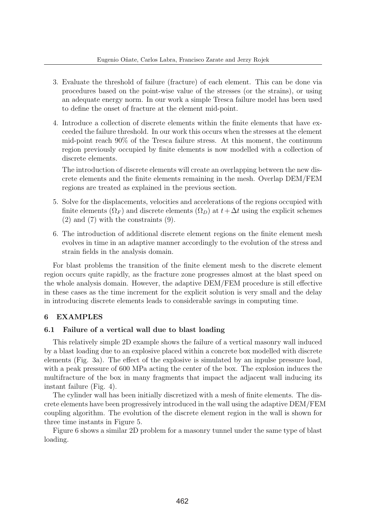- 3. Evaluate the threshold of failure (fracture) of each element. This can be done via procedures based on the point-wise value of the stresses (or the strains), or using an adequate energy norm. In our work a simple Tresca failure model has been used to define the onset of fracture at the element mid-point.
- 4. Introduce a collection of discrete elements within the finite elements that have exceeded the failure threshold. In our work this occurs when the stresses at the element mid-point reach 90% of the Tresca failure stress. At this moment, the continuum region previously occupied by finite elements is now modelled with a collection of discrete elements.

The introduction of discrete elements will create an overlapping between the new discrete elements and the finite elements remaining in the mesh. Overlap DEM/FEM regions are treated as explained in the previous section.

- 5. Solve for the displacements, velocities and accelerations of the regions occupied with finite elements  $(\Omega_F)$  and discrete elements  $(\Omega_D)$  at  $t+\Delta t$  using the explicit schemes (2) and (7) with the constraints (9).
- 6. The introduction of additional discrete element regions on the finite element mesh evolves in time in an adaptive manner accordingly to the evolution of the stress and strain fields in the analysis domain.

For blast problems the transition of the finite element mesh to the discrete element region occurs quite rapidly, as the fracture zone progresses almost at the blast speed on the whole analysis domain. However, the adaptive DEM/FEM procedure is still effective in these cases as the time increment for the explicit solution is very small and the delay in introducing discrete elements leads to considerable savings in computing time.

## 6 EXAMPLES

## 6.1 Failure of a vertical wall due to blast loading

This relatively simple 2D example shows the failure of a vertical masonry wall induced by a blast loading due to an explosive placed within a concrete box modelled with discrete elements (Fig. 3a). The effect of the explosive is simulated by an inpulse pressure load, with a peak pressure of 600 MPa acting the center of the box. The explosion induces the multifracture of the box in many fragments that impact the adjacent wall inducing its instant failure (Fig. 4).

The cylinder wall has been initially discretized with a mesh of finite elements. The discrete elements have been progressively introduced in the wall using the adaptive DEM/FEM coupling algorithm. The evolution of the discrete element region in the wall is shown for three time instants in Figure 5.

Figure 6 shows a similar 2D problem for a masonry tunnel under the same type of blast loading.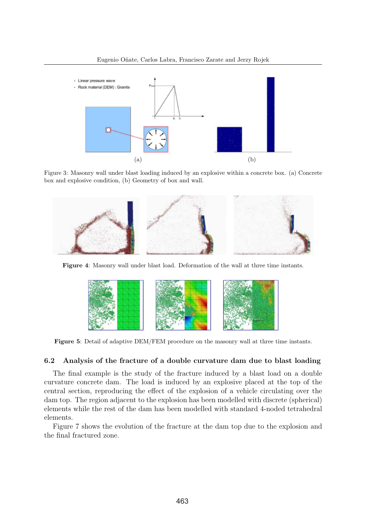

Figure 3: Masonry wall under blast loading induced by an explosive within a concrete box. (a) Concrete box and explosive condition, (b) Geometry of box and wall.



Figure 4: Masonry wall under blast load. Deformation of the wall at three time instants.



Figure 5: Detail of adaptive DEM/FEM procedure on the masonry wall at three time instants.

## 6.2 Analysis of the fracture of a double curvature dam due to blast loading

The final example is the study of the fracture induced by a blast load on a double curvature concrete dam. The load is induced by an explosive placed at the top of the central section, reproducing the effect of the explosion of a vehicle circulating over the dam top. The region adjacent to the explosion has been modelled with discrete (spherical) elements while the rest of the dam has been modelled with standard 4-noded tetrahedral elements.

Figure 7 shows the evolution of the fracture at the dam top due to the explosion and the final fractured zone.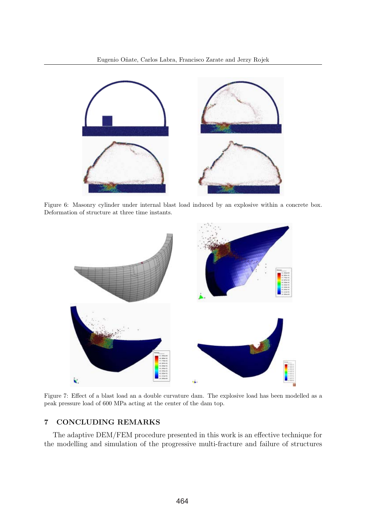

Figure 6: Masonry cylinder under internal blast load induced by an explosive within a concrete box. Deformation of structure at three time instants.



Figure 7: Effect of a blast load an a double curvature dam. The explosive load has been modelled as a peak pressure load of 600 MPa acting at the center of the dam top.

## 7 CONCLUDING REMARKS

The adaptive DEM/FEM procedure presented in this work is an effective technique for the modelling and simulation of the progressive multi-fracture and failure of structures